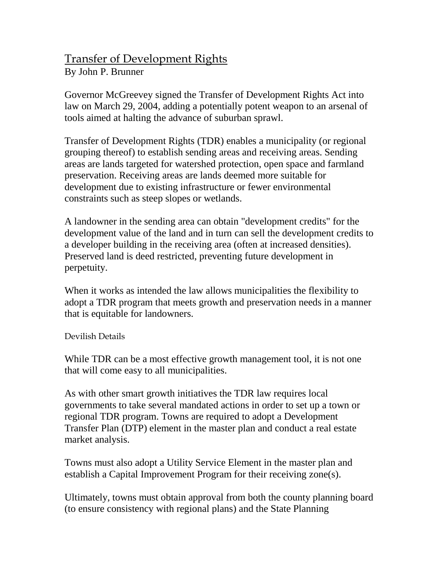## Transfer of Development Rights

By John P. Brunner

Governor McGreevey signed the Transfer of Development Rights Act into law on March 29, 2004, adding a potentially potent weapon to an arsenal of tools aimed at halting the advance of suburban sprawl.

Transfer of Development Rights (TDR) enables a municipality (or regional grouping thereof) to establish sending areas and receiving areas. Sending areas are lands targeted for watershed protection, open space and farmland preservation. Receiving areas are lands deemed more suitable for development due to existing infrastructure or fewer environmental constraints such as steep slopes or wetlands.

A landowner in the sending area can obtain "development credits" for the development value of the land and in turn can sell the development credits to a developer building in the receiving area (often at increased densities). Preserved land is deed restricted, preventing future development in perpetuity.

When it works as intended the law allows municipalities the flexibility to adopt a TDR program that meets growth and preservation needs in a manner that is equitable for landowners.

## Devilish Details

While TDR can be a most effective growth management tool, it is not one that will come easy to all municipalities.

As with other smart growth initiatives the TDR law requires local governments to take several mandated actions in order to set up a town or regional TDR program. Towns are required to adopt a Development Transfer Plan (DTP) element in the master plan and conduct a real estate market analysis.

Towns must also adopt a Utility Service Element in the master plan and establish a Capital Improvement Program for their receiving zone(s).

Ultimately, towns must obtain approval from both the county planning board (to ensure consistency with regional plans) and the State Planning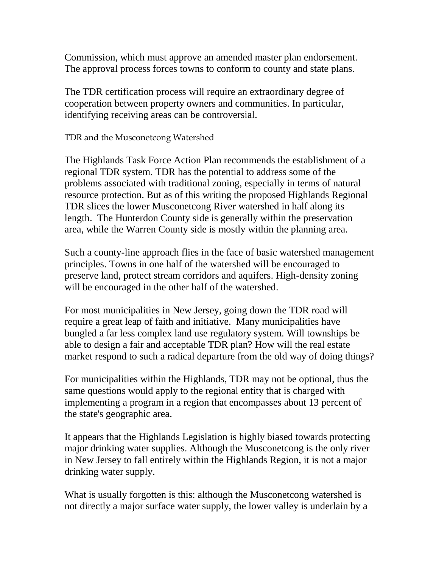Commission, which must approve an amended master plan endorsement. The approval process forces towns to conform to county and state plans.

The TDR certification process will require an extraordinary degree of cooperation between property owners and communities. In particular, identifying receiving areas can be controversial.

TDR and the Musconetcong Watershed

The Highlands Task Force Action Plan recommends the establishment of a regional TDR system. TDR has the potential to address some of the problems associated with traditional zoning, especially in terms of natural resource protection. But as of this writing the proposed Highlands Regional TDR slices the lower Musconetcong River watershed in half along its length. The Hunterdon County side is generally within the preservation area, while the Warren County side is mostly within the planning area.

Such a county-line approach flies in the face of basic watershed management principles. Towns in one half of the watershed will be encouraged to preserve land, protect stream corridors and aquifers. High-density zoning will be encouraged in the other half of the watershed.

For most municipalities in New Jersey, going down the TDR road will require a great leap of faith and initiative. Many municipalities have bungled a far less complex land use regulatory system. Will townships be able to design a fair and acceptable TDR plan? How will the real estate market respond to such a radical departure from the old way of doing things?

For municipalities within the Highlands, TDR may not be optional, thus the same questions would apply to the regional entity that is charged with implementing a program in a region that encompasses about 13 percent of the state's geographic area.

It appears that the Highlands Legislation is highly biased towards protecting major drinking water supplies. Although the Musconetcong is the only river in New Jersey to fall entirely within the Highlands Region, it is not a major drinking water supply.

What is usually forgotten is this: although the Musconetcong watershed is not directly a major surface water supply, the lower valley is underlain by a